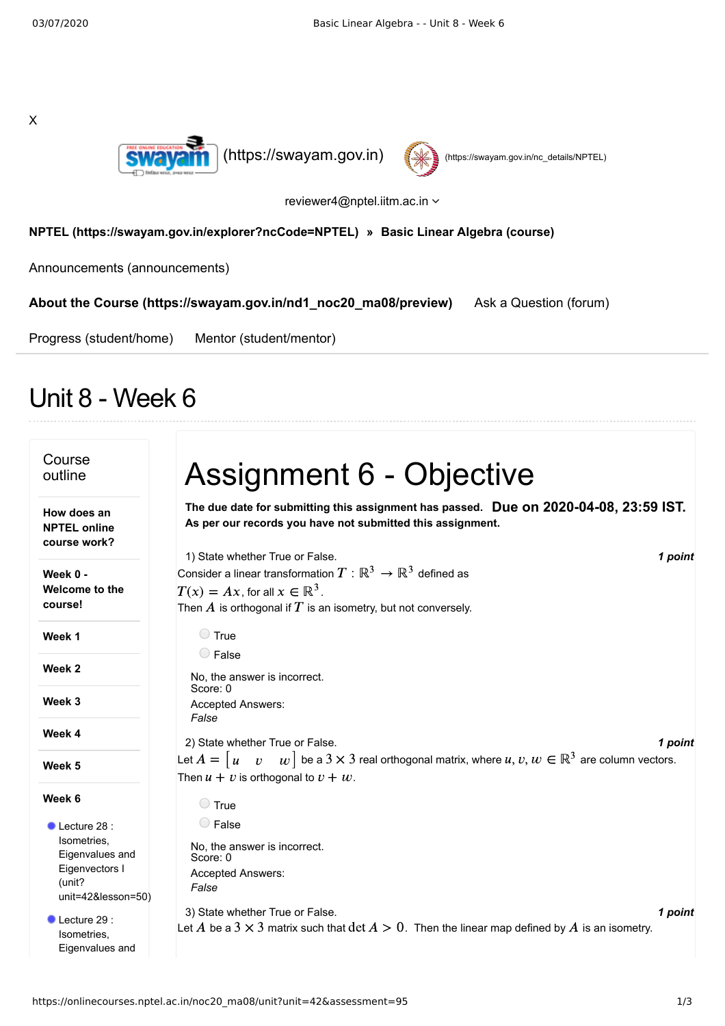



reviewer4@nptel.iitm.ac.in

## **[NPTEL \(https://swayam.gov.in/explorer?ncCode=NPTEL\)](https://swayam.gov.in/explorer?ncCode=NPTEL) » [Basic Linear Algebra \(course\)](https://onlinecourses.nptel.ac.in/noc20_ma08/course)**

[Announcements \(announcements\)](https://onlinecourses.nptel.ac.in/noc20_ma08/announcements)

**[About the Course \(https://swayam.gov.in/nd1\\_noc20\\_ma08/preview\)](https://swayam.gov.in/nd1_noc20_ma08/preview)** [Ask a Question \(forum\)](https://onlinecourses.nptel.ac.in/noc20_ma08/forum)

[Progress \(student/home\)](https://onlinecourses.nptel.ac.in/noc20_ma08/student/home) [Mentor \(student/mentor\)](https://onlinecourses.nptel.ac.in/noc20_ma08/student/mentor)

## Unit 8 - Week 6

| Course<br>outline                                                                                         | Assignment 6 - Objective                                                                                                                                                                                                                          |
|-----------------------------------------------------------------------------------------------------------|---------------------------------------------------------------------------------------------------------------------------------------------------------------------------------------------------------------------------------------------------|
| How does an<br><b>NPTEL online</b><br>course work?                                                        | The due date for submitting this assignment has passed. Due on 2020-04-08, 23:59 IST.<br>As per our records you have not submitted this assignment.                                                                                               |
| Week 0 -<br>Welcome to the<br>course!                                                                     | 1) State whether True or False.<br>1 point<br>Consider a linear transformation $T: \mathbb{R}^3 \to \mathbb{R}^3$ defined as<br>$T(x) = Ax$ , for all $x \in \mathbb{R}^3$ .<br>Then $A$ is orthogonal if $T$ is an isometry, but not conversely. |
| Week 1                                                                                                    | ◯ True                                                                                                                                                                                                                                            |
| Week 2                                                                                                    | $\bigcirc$ False<br>No, the answer is incorrect.                                                                                                                                                                                                  |
| Week 3                                                                                                    | Score: 0<br><b>Accepted Answers:</b>                                                                                                                                                                                                              |
| Week 4                                                                                                    | False<br>2) State whether True or False.<br>1 point                                                                                                                                                                                               |
| Week 5                                                                                                    | Let $A = \begin{bmatrix} u & v & w \end{bmatrix}$ be a $3 \times 3$ real orthogonal matrix, where $u, v, w \in \mathbb{R}^3$ are column vectors.<br>Then $u + v$ is orthogonal to $v + w$ .                                                       |
| Week 6                                                                                                    | ◯ True                                                                                                                                                                                                                                            |
| $\bullet$ Lecture 28:<br>Isometries.<br>Eigenvalues and<br>Eigenvectors I<br>(unit?<br>unit=42&lesson=50) | C False<br>No, the answer is incorrect.<br>Score: 0<br><b>Accepted Answers:</b><br>False                                                                                                                                                          |
| Lecture 29:<br>Isometries.<br>Eigenvalues and                                                             | 3) State whether True or False.<br>1 point<br>Let A be a 3 $\times$ 3 matrix such that det $A > 0$ . Then the linear map defined by A is an isometry.                                                                                             |